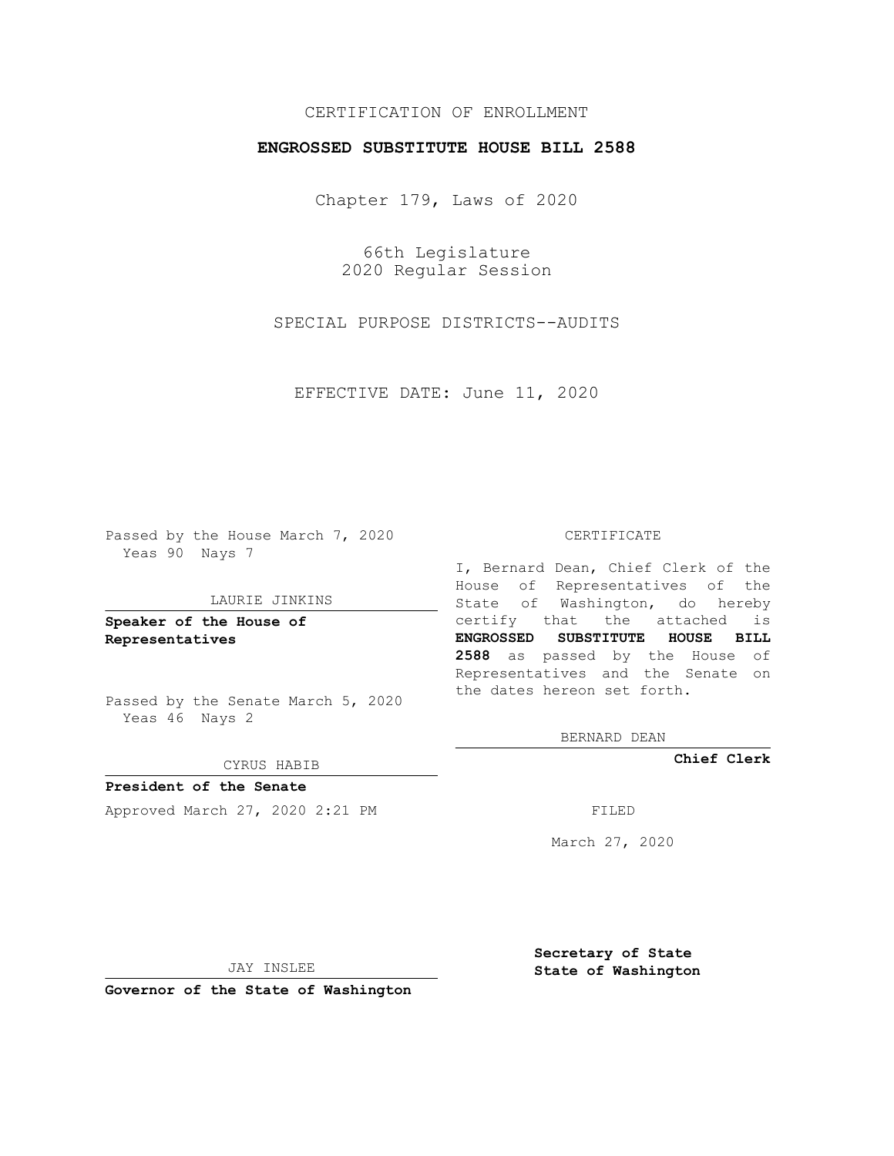## CERTIFICATION OF ENROLLMENT

### **ENGROSSED SUBSTITUTE HOUSE BILL 2588**

Chapter 179, Laws of 2020

66th Legislature 2020 Regular Session

SPECIAL PURPOSE DISTRICTS--AUDITS

EFFECTIVE DATE: June 11, 2020

Passed by the House March 7, 2020 Yeas 90 Nays 7

#### LAURIE JINKINS

**Speaker of the House of Representatives**

Passed by the Senate March 5, 2020 Yeas 46 Nays 2

#### CYRUS HABIB

**President of the Senate** Approved March 27, 2020 2:21 PM

#### CERTIFICATE

I, Bernard Dean, Chief Clerk of the House of Representatives of the State of Washington, do hereby certify that the attached is **ENGROSSED SUBSTITUTE HOUSE BILL 2588** as passed by the House of Representatives and the Senate on the dates hereon set forth.

BERNARD DEAN

**Chief Clerk**

March 27, 2020

JAY INSLEE

**Governor of the State of Washington**

**Secretary of State State of Washington**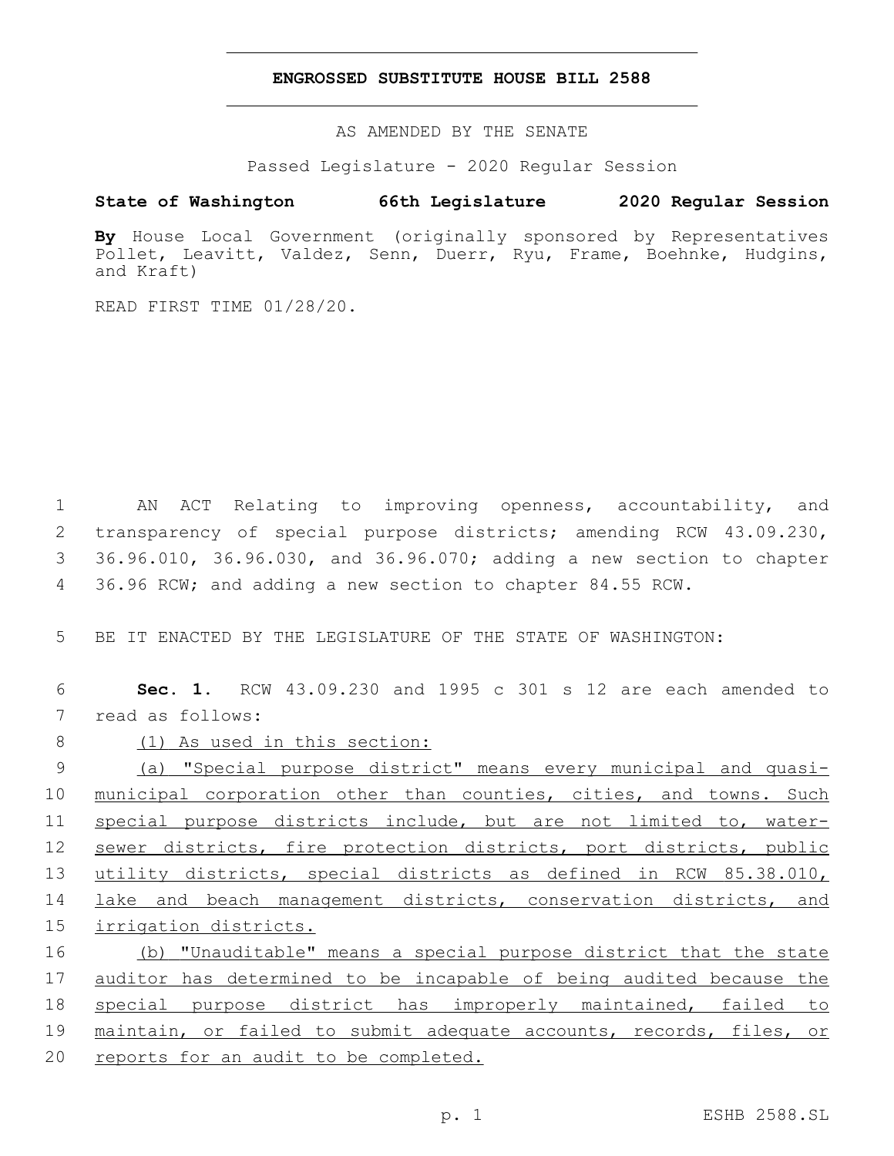#### **ENGROSSED SUBSTITUTE HOUSE BILL 2588**

AS AMENDED BY THE SENATE

Passed Legislature - 2020 Regular Session

# **State of Washington 66th Legislature 2020 Regular Session**

**By** House Local Government (originally sponsored by Representatives Pollet, Leavitt, Valdez, Senn, Duerr, Ryu, Frame, Boehnke, Hudgins, and Kraft)

READ FIRST TIME 01/28/20.

 AN ACT Relating to improving openness, accountability, and transparency of special purpose districts; amending RCW 43.09.230, 36.96.010, 36.96.030, and 36.96.070; adding a new section to chapter 36.96 RCW; and adding a new section to chapter 84.55 RCW.

5 BE IT ENACTED BY THE LEGISLATURE OF THE STATE OF WASHINGTON:

6 **Sec. 1.** RCW 43.09.230 and 1995 c 301 s 12 are each amended to 7 read as follows:

8 (1) As used in this section:

 (a) "Special purpose district" means every municipal and quasi-10 municipal corporation other than counties, cities, and towns. Such special purpose districts include, but are not limited to, water- sewer districts, fire protection districts, port districts, public utility districts, special districts as defined in RCW 85.38.010, 14 lake and beach management districts, conservation districts, and irrigation districts.

 (b) "Unauditable" means a special purpose district that the state 17 auditor has determined to be incapable of being audited because the special purpose district has improperly maintained, failed to maintain, or failed to submit adequate accounts, records, files, or reports for an audit to be completed.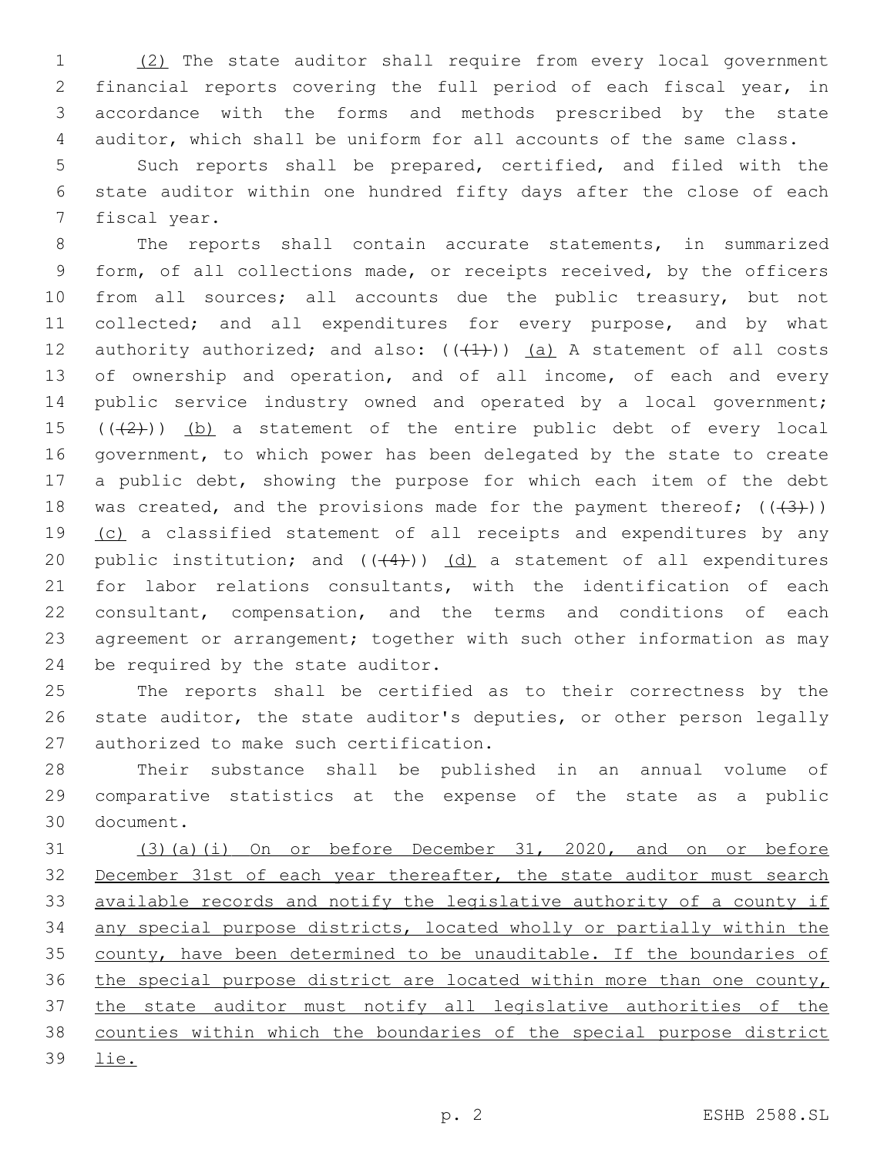(2) The state auditor shall require from every local government financial reports covering the full period of each fiscal year, in accordance with the forms and methods prescribed by the state auditor, which shall be uniform for all accounts of the same class.

 Such reports shall be prepared, certified, and filed with the state auditor within one hundred fifty days after the close of each 7 fiscal year.

 The reports shall contain accurate statements, in summarized form, of all collections made, or receipts received, by the officers 10 from all sources; all accounts due the public treasury, but not 11 collected; and all expenditures for every purpose, and by what 12 authority authorized; and also:  $((+1)^2)$  (a) A statement of all costs 13 of ownership and operation, and of all income, of each and every public service industry owned and operated by a local government; 15  $((+2))$  (b) a statement of the entire public debt of every local government, to which power has been delegated by the state to create 17 a public debt, showing the purpose for which each item of the debt 18 was created, and the provisions made for the payment thereof;  $((+3))$ 19 (c) a classified statement of all receipts and expenditures by any 20 public institution; and  $((+4))$   $(d)$  a statement of all expenditures for labor relations consultants, with the identification of each consultant, compensation, and the terms and conditions of each agreement or arrangement; together with such other information as may 24 be required by the state auditor.

 The reports shall be certified as to their correctness by the state auditor, the state auditor's deputies, or other person legally 27 authorized to make such certification.

 Their substance shall be published in an annual volume of comparative statistics at the expense of the state as a public 30 document.

 (3)(a)(i) On or before December 31, 2020, and on or before December 31st of each year thereafter, the state auditor must search available records and notify the legislative authority of a county if any special purpose districts, located wholly or partially within the county, have been determined to be unauditable. If the boundaries of the special purpose district are located within more than one county, the state auditor must notify all legislative authorities of the counties within which the boundaries of the special purpose district lie.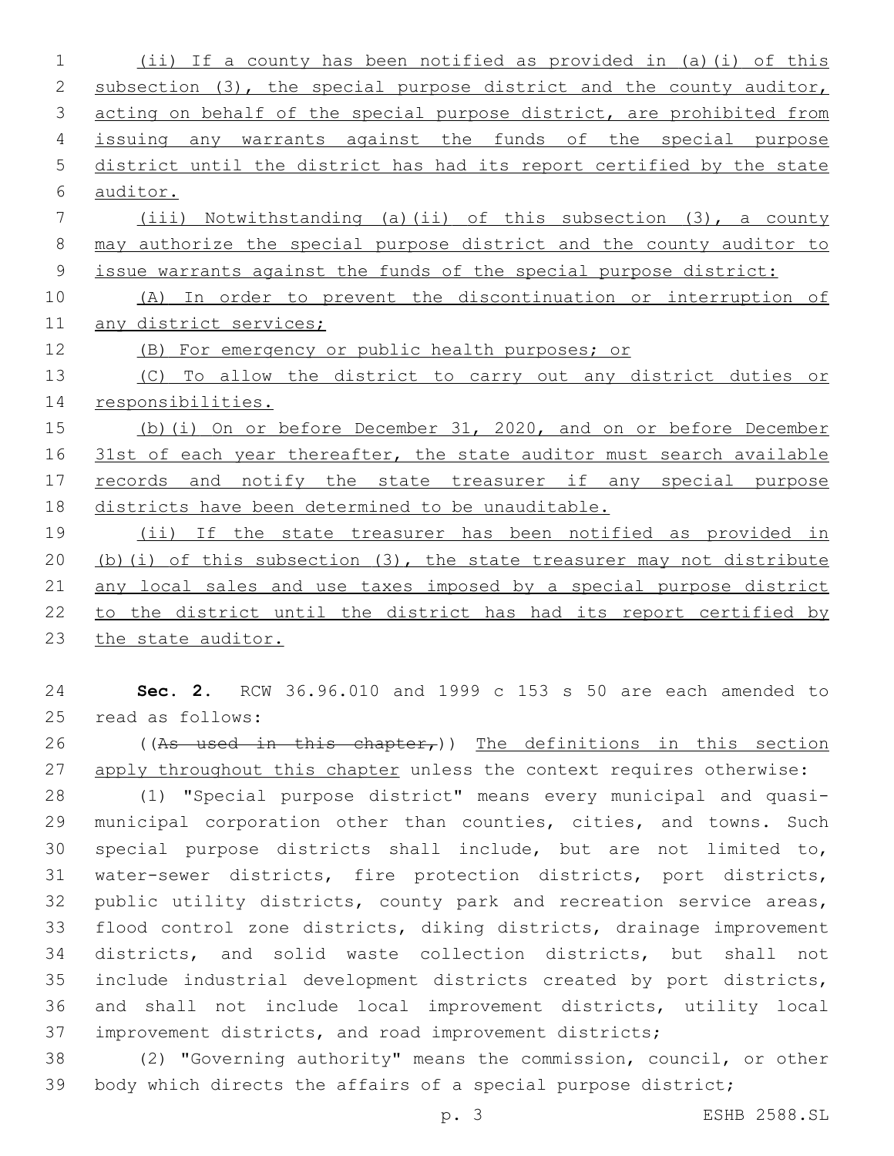(ii) If a county has been notified as provided in (a)(i) of this 2 subsection (3), the special purpose district and the county auditor, acting on behalf of the special purpose district, are prohibited from issuing any warrants against the funds of the special purpose district until the district has had its report certified by the state auditor. (iii) Notwithstanding (a)(ii) of this subsection (3), a county may authorize the special purpose district and the county auditor to issue warrants against the funds of the special purpose district: (A) In order to prevent the discontinuation or interruption of 11 any district services; (B) For emergency or public health purposes; or (C) To allow the district to carry out any district duties or responsibilities. (b)(i) On or before December 31, 2020, and on or before December 16 31st of each year thereafter, the state auditor must search available 17 records and notify the state treasurer if any special purpose districts have been determined to be unauditable. (ii) If the state treasurer has been notified as provided in (b)(i) of this subsection (3), the state treasurer may not distribute 21 any local sales and use taxes imposed by a special purpose district

 to the district until the district has had its report certified by 23 the state auditor.

 **Sec. 2.** RCW 36.96.010 and 1999 c 153 s 50 are each amended to 25 read as follows:

26 ((As used in this chapter,)) The definitions in this section 27 apply throughout this chapter unless the context requires otherwise:

 (1) "Special purpose district" means every municipal and quasi- municipal corporation other than counties, cities, and towns. Such special purpose districts shall include, but are not limited to, water-sewer districts, fire protection districts, port districts, 32 public utility districts, county park and recreation service areas, flood control zone districts, diking districts, drainage improvement districts, and solid waste collection districts, but shall not include industrial development districts created by port districts, and shall not include local improvement districts, utility local improvement districts, and road improvement districts;

 (2) "Governing authority" means the commission, council, or other body which directs the affairs of a special purpose district;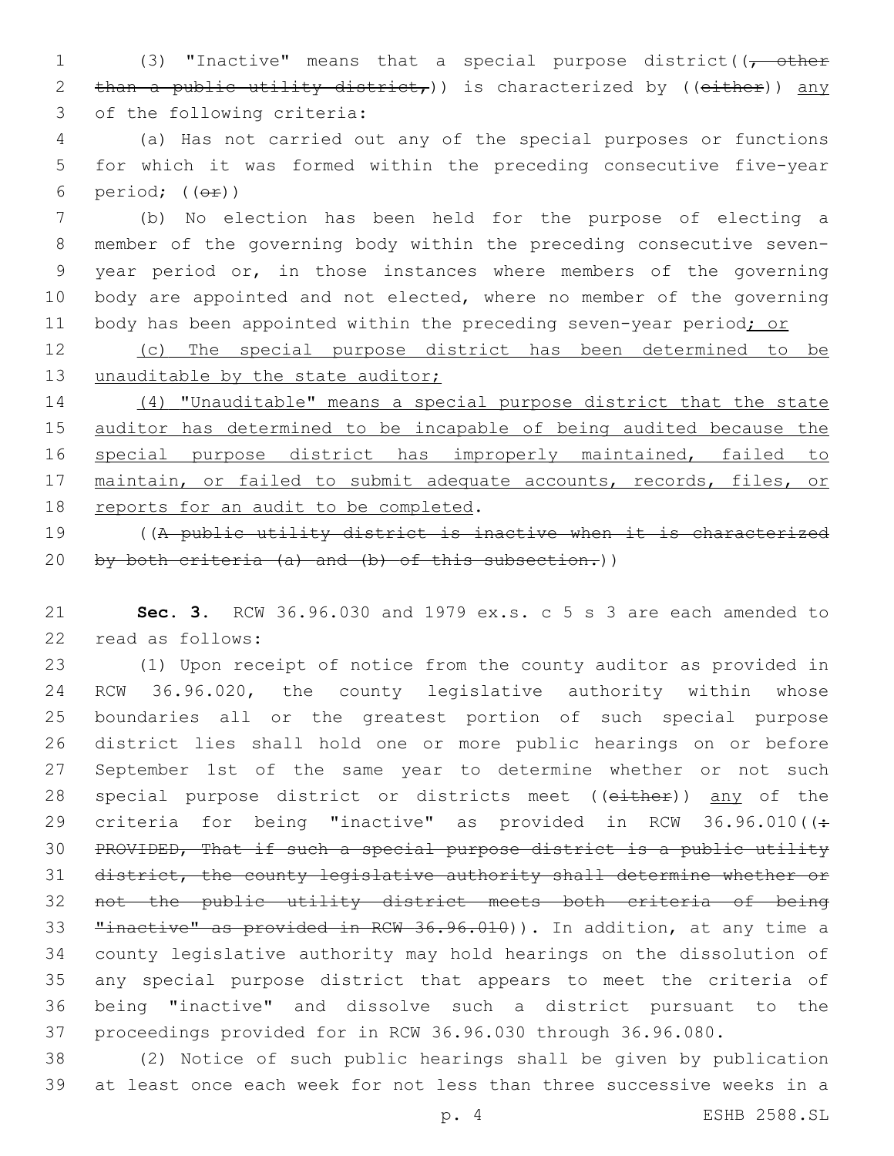1 (3) "Inactive" means that a special purpose district( $\sqrt{\phantom{a}}$  other 2 than a public utility district,  $)$  is characterized by ((either)) any 3 of the following criteria:

 (a) Has not carried out any of the special purposes or functions for which it was formed within the preceding consecutive five-year 6 period;  $((\theta \oplus))$ 

 (b) No election has been held for the purpose of electing a member of the governing body within the preceding consecutive seven- year period or, in those instances where members of the governing body are appointed and not elected, where no member of the governing 11 body has been appointed within the preceding seven-year period; or

 (c) The special purpose district has been determined to be 13 unauditable by the state auditor;

 (4) "Unauditable" means a special purpose district that the state auditor has determined to be incapable of being audited because the 16 special purpose district has improperly maintained, failed to maintain, or failed to submit adequate accounts, records, files, or 18 reports for an audit to be completed.

 ((A public utility district is inactive when it is characterized 20 by both criteria  $(a)$  and  $(b)$  of this subsection.))

 **Sec. 3.** RCW 36.96.030 and 1979 ex.s. c 5 s 3 are each amended to 22 read as follows:

 (1) Upon receipt of notice from the county auditor as provided in RCW 36.96.020, the county legislative authority within whose boundaries all or the greatest portion of such special purpose district lies shall hold one or more public hearings on or before September 1st of the same year to determine whether or not such 28 special purpose district or districts meet ((either)) any of the 29 criteria for being "inactive" as provided in RCW  $36.96.010$  ( $\div$  PROVIDED, That if such a special purpose district is a public utility district, the county legislative authority shall determine whether or not the public utility district meets both criteria of being **"inactive"** as provided in RCW 36.96.010)). In addition, at any time a county legislative authority may hold hearings on the dissolution of any special purpose district that appears to meet the criteria of being "inactive" and dissolve such a district pursuant to the proceedings provided for in RCW 36.96.030 through 36.96.080.

 (2) Notice of such public hearings shall be given by publication at least once each week for not less than three successive weeks in a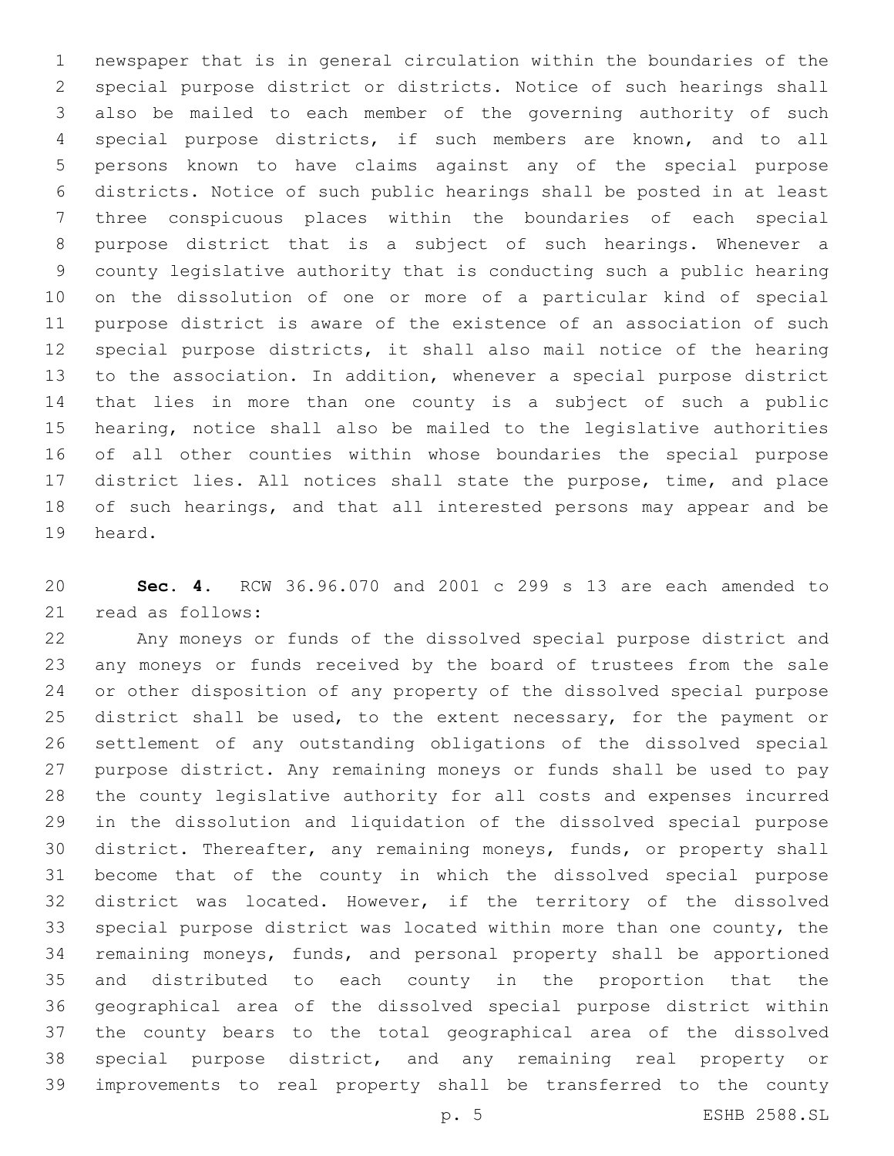newspaper that is in general circulation within the boundaries of the special purpose district or districts. Notice of such hearings shall also be mailed to each member of the governing authority of such special purpose districts, if such members are known, and to all persons known to have claims against any of the special purpose districts. Notice of such public hearings shall be posted in at least three conspicuous places within the boundaries of each special purpose district that is a subject of such hearings. Whenever a county legislative authority that is conducting such a public hearing on the dissolution of one or more of a particular kind of special purpose district is aware of the existence of an association of such special purpose districts, it shall also mail notice of the hearing to the association. In addition, whenever a special purpose district that lies in more than one county is a subject of such a public hearing, notice shall also be mailed to the legislative authorities of all other counties within whose boundaries the special purpose district lies. All notices shall state the purpose, time, and place 18 of such hearings, and that all interested persons may appear and be 19 heard.

 **Sec. 4.** RCW 36.96.070 and 2001 c 299 s 13 are each amended to 21 read as follows:

 Any moneys or funds of the dissolved special purpose district and any moneys or funds received by the board of trustees from the sale or other disposition of any property of the dissolved special purpose 25 district shall be used, to the extent necessary, for the payment or settlement of any outstanding obligations of the dissolved special purpose district. Any remaining moneys or funds shall be used to pay the county legislative authority for all costs and expenses incurred in the dissolution and liquidation of the dissolved special purpose district. Thereafter, any remaining moneys, funds, or property shall become that of the county in which the dissolved special purpose district was located. However, if the territory of the dissolved special purpose district was located within more than one county, the remaining moneys, funds, and personal property shall be apportioned and distributed to each county in the proportion that the geographical area of the dissolved special purpose district within the county bears to the total geographical area of the dissolved special purpose district, and any remaining real property or improvements to real property shall be transferred to the county

p. 5 ESHB 2588.SL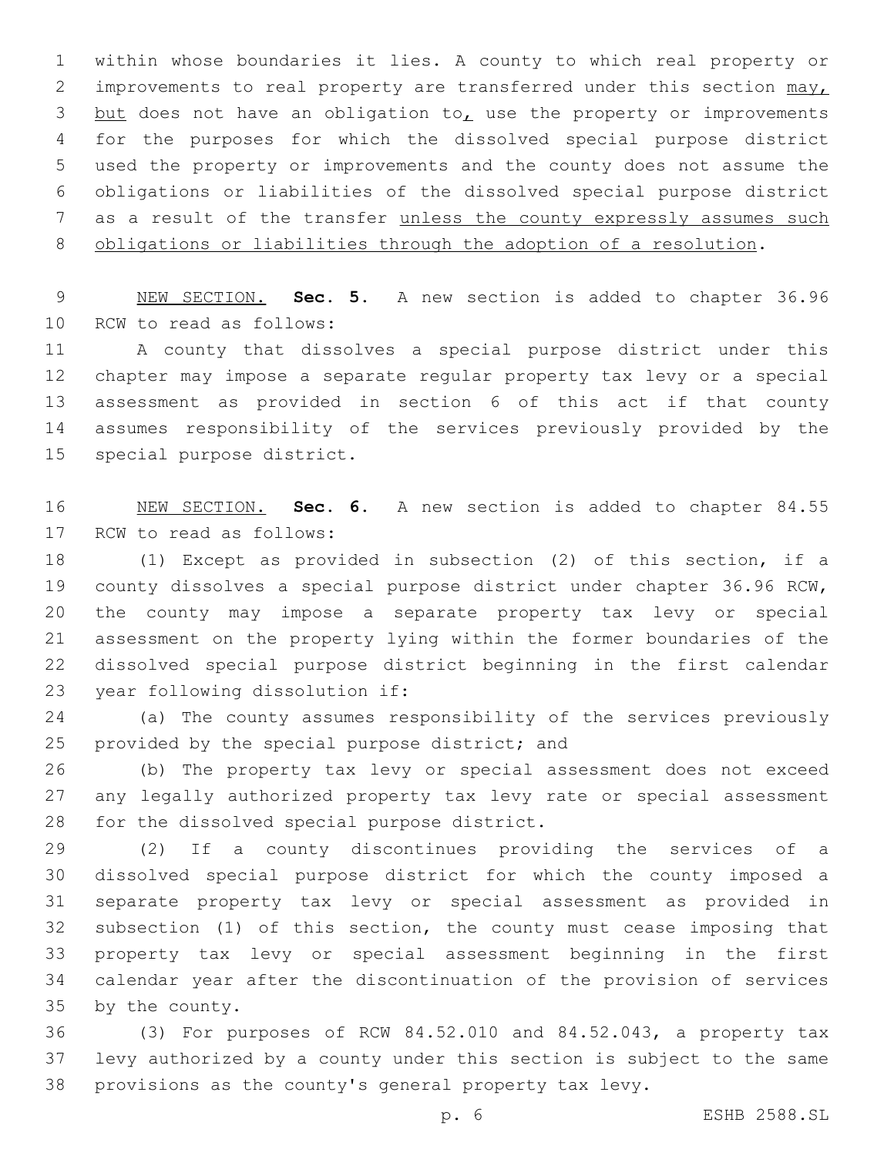within whose boundaries it lies. A county to which real property or 2 improvements to real property are transferred under this section may, 3 but does not have an obligation to, use the property or improvements for the purposes for which the dissolved special purpose district used the property or improvements and the county does not assume the obligations or liabilities of the dissolved special purpose district as a result of the transfer unless the county expressly assumes such obligations or liabilities through the adoption of a resolution.

 NEW SECTION. **Sec. 5.** A new section is added to chapter 36.96 10 RCW to read as follows:

 A county that dissolves a special purpose district under this chapter may impose a separate regular property tax levy or a special assessment as provided in section 6 of this act if that county assumes responsibility of the services previously provided by the 15 special purpose district.

 NEW SECTION. **Sec. 6.** A new section is added to chapter 84.55 17 RCW to read as follows:

 (1) Except as provided in subsection (2) of this section, if a county dissolves a special purpose district under chapter 36.96 RCW, the county may impose a separate property tax levy or special assessment on the property lying within the former boundaries of the dissolved special purpose district beginning in the first calendar 23 year following dissolution if:

 (a) The county assumes responsibility of the services previously 25 provided by the special purpose district; and

 (b) The property tax levy or special assessment does not exceed any legally authorized property tax levy rate or special assessment 28 for the dissolved special purpose district.

 (2) If a county discontinues providing the services of a dissolved special purpose district for which the county imposed a separate property tax levy or special assessment as provided in subsection (1) of this section, the county must cease imposing that property tax levy or special assessment beginning in the first calendar year after the discontinuation of the provision of services 35 by the county.

 (3) For purposes of RCW 84.52.010 and 84.52.043, a property tax levy authorized by a county under this section is subject to the same provisions as the county's general property tax levy.